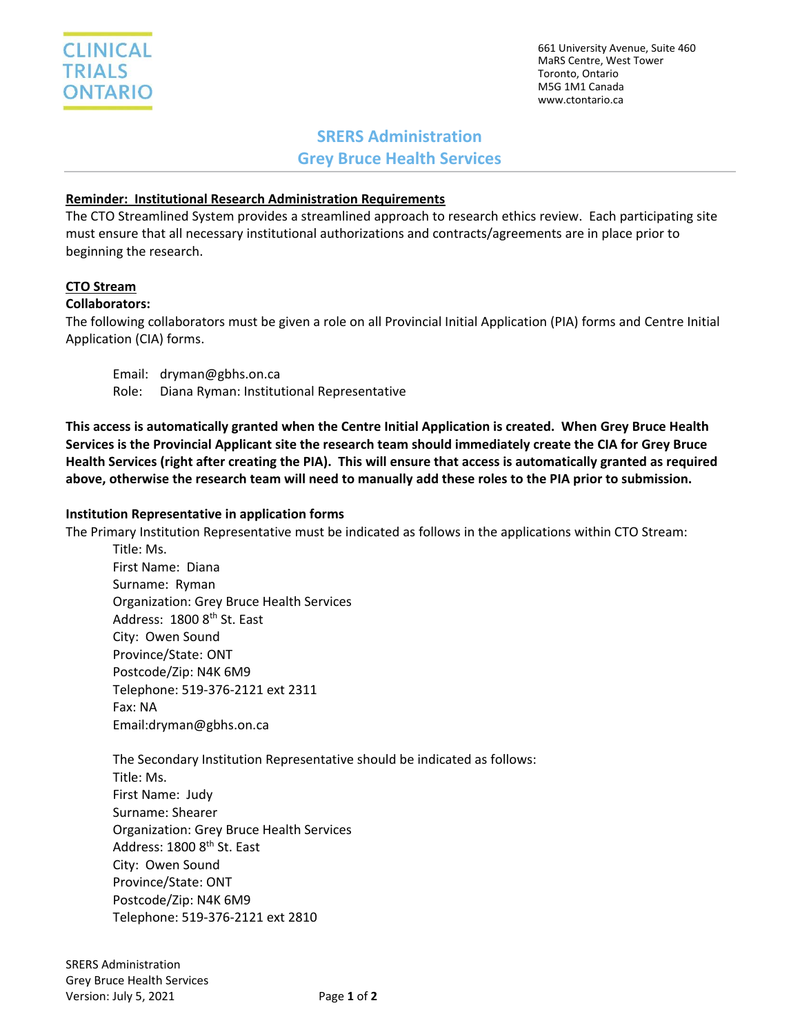661 University Avenue, Suite 460 MaRS Centre, West Tower Toronto, Ontario M5G 1M1 Canada www.ctontario.ca

# **SRERS Administration Grey Bruce Health Services**

## **Reminder: Institutional Research Administration Requirements**

The CTO Streamlined System provides a streamlined approach to research ethics review. Each participating site must ensure that all necessary institutional authorizations and contracts/agreements are in place prior to beginning the research.

## **CTO Stream**

## **Collaborators:**

The following collaborators must be given a role on all Provincial Initial Application (PIA) forms and Centre Initial Application (CIA) forms.

Email: dryman@gbhs.on.ca Role: Diana Ryman: Institutional Representative

**This access is automatically granted when the Centre Initial Application is created. When Grey Bruce Health Services is the Provincial Applicant site the research team should immediately create the CIA for Grey Bruce Health Services (right after creating the PIA). This will ensure that access is automatically granted as required above, otherwise the research team will need to manually add these roles to the PIA prior to submission.**

### **Institution Representative in application forms**

The Primary Institution Representative must be indicated as follows in the applications within CTO Stream:

Title: Ms. First Name: Diana Surname: Ryman Organization: Grey Bruce Health Services Address: 1800 8<sup>th</sup> St. East City: Owen Sound Province/State: ONT Postcode/Zip: N4K 6M9 Telephone: 519-376-2121 ext 2311 Fax: NA Email:dryman@gbhs.on.ca

The Secondary Institution Representative should be indicated as follows: Title: Ms. First Name: Judy Surname: Shearer Organization: Grey Bruce Health Services Address: 1800 8<sup>th</sup> St. East City: Owen Sound Province/State: ONT Postcode/Zip: N4K 6M9 Telephone: 519-376-2121 ext 2810